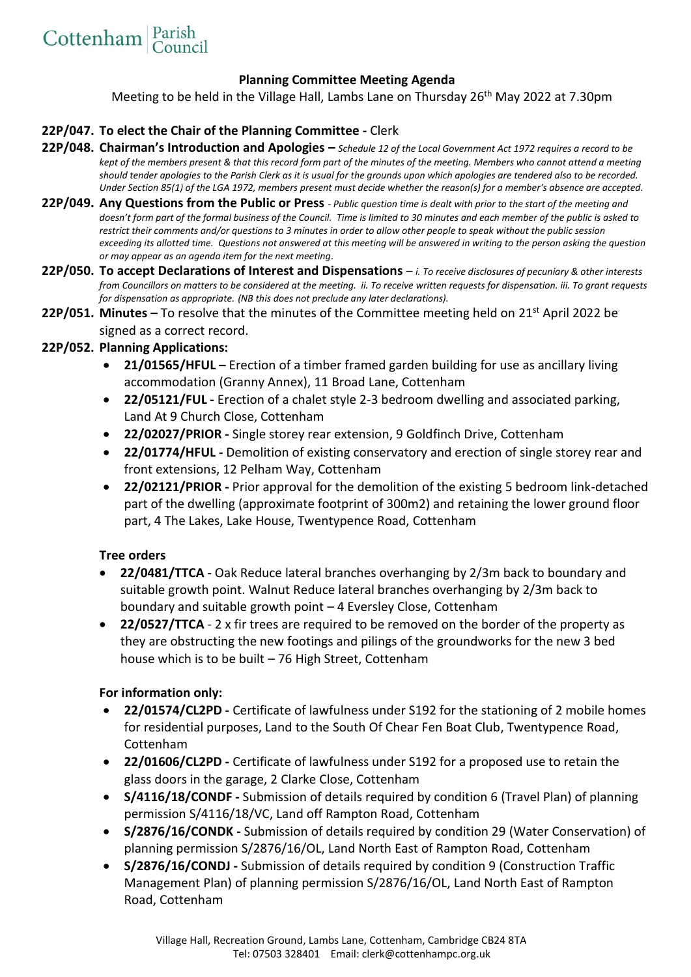# **Planning Committee Meeting Agenda**

Meeting to be held in the Village Hall, Lambs Lane on Thursday 26th May 2022 at 7.30pm

## **22P/047. To elect the Chair of the Planning Committee -** Clerk

- **22P/048. Chairman's Introduction and Apologies –** *Schedule 12 of the Local Government Act 1972 requires a record to be kept of the members present & that this record form part of the minutes of the meeting. Members who cannot attend a meeting should tender apologies to the Parish Clerk as it is usual for the grounds upon which apologies are tendered also to be recorded. Under Section 85(1) of the LGA 1972, members present must decide whether the reason(s) for a member's absence are accepted.*
- **22P/049. Any Questions from the Public or Press** *- Public question time is dealt with prior to the start of the meeting and*  doesn't form part of the formal business of the Council. Time is limited to 30 minutes and each member of the public is asked to *restrict their comments and/or questions to 3 minutes in order to allow other people to speak without the public session exceeding its allotted time. Questions not answered at this meeting will be answered in writing to the person asking the question or may appear as an agenda item for the next meeting*.
- **22P/050. To accept Declarations of Interest and Dispensations**  *i. To receive disclosures of pecuniary & other interests from Councillors on matters to be considered at the meeting. ii. To receive written requests for dispensation. iii. To grant requests for dispensation as appropriate. (NB this does not preclude any later declarations).*
- **22P/051. Minutes –** To resolve that the minutes of the Committee meeting held on 21<sup>st</sup> April 2022 be signed as a correct record.

### **22P/052. Planning Applications:**

- **21/01565/HFUL –** Erection of a timber framed garden building for use as ancillary living accommodation (Granny Annex), 11 Broad Lane, Cottenham
- **22/05121/FUL -** Erection of a chalet style 2-3 bedroom dwelling and associated parking, Land At 9 Church Close, Cottenham
- **22/02027/PRIOR -** Single storey rear extension, 9 Goldfinch Drive, Cottenham
- **22/01774/HFUL -** Demolition of existing conservatory and erection of single storey rear and front extensions, 12 Pelham Way, Cottenham
- **22/02121/PRIOR -** Prior approval for the demolition of the existing 5 bedroom link-detached part of the dwelling (approximate footprint of 300m2) and retaining the lower ground floor part, 4 The Lakes, Lake House, Twentypence Road, Cottenham

### **Tree orders**

- **22/0481/TTCA** Oak Reduce lateral branches overhanging by 2/3m back to boundary and suitable growth point. Walnut Reduce lateral branches overhanging by 2/3m back to boundary and suitable growth point – 4 Eversley Close, Cottenham
- **22/0527/TTCA**  2 x fir trees are required to be removed on the border of the property as they are obstructing the new footings and pilings of the groundworks for the new 3 bed house which is to be built – 76 High Street, Cottenham

### **For information only:**

- **22/01574/CL2PD -** Certificate of lawfulness under S192 for the stationing of 2 mobile homes for residential purposes, Land to the South Of Chear Fen Boat Club, Twentypence Road, Cottenham
- **22/01606/CL2PD -** Certificate of lawfulness under S192 for a proposed use to retain the glass doors in the garage, 2 Clarke Close, Cottenham
- **S/4116/18/CONDF -** Submission of details required by condition 6 (Travel Plan) of planning permission S/4116/18/VC, Land off Rampton Road, Cottenham
- **S/2876/16/CONDK -** Submission of details required by condition 29 (Water Conservation) of planning permission S/2876/16/OL, Land North East of Rampton Road, Cottenham
- **S/2876/16/CONDJ -** Submission of details required by condition 9 (Construction Traffic Management Plan) of planning permission S/2876/16/OL, Land North East of Rampton Road, Cottenham